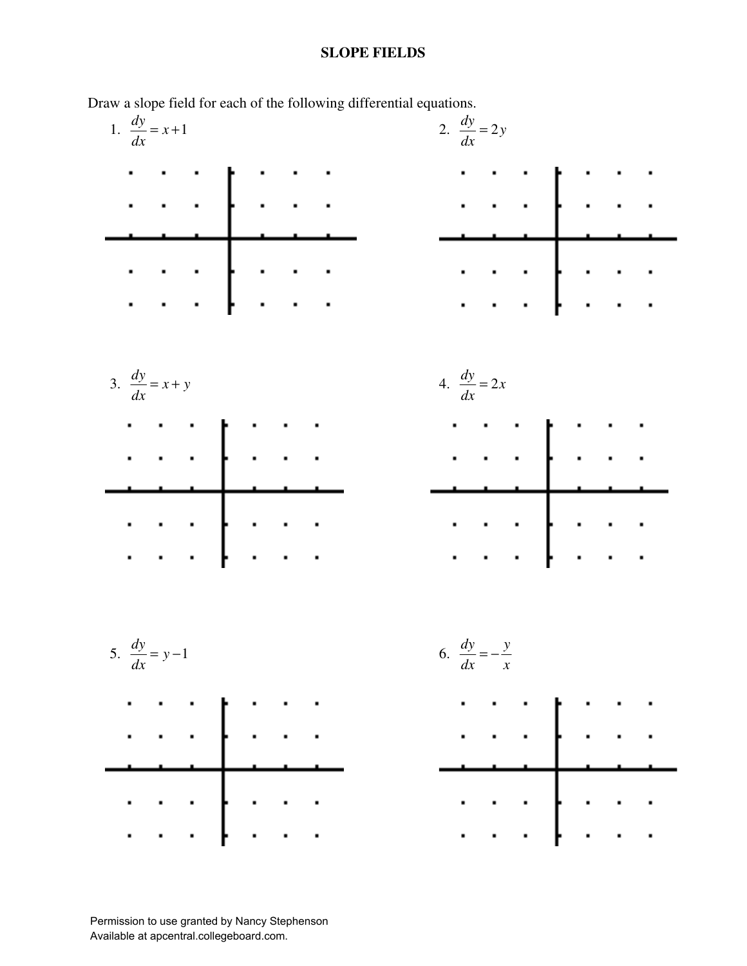## **SLOPE FIELDS**

2.  $\frac{dy}{dx} = 2y$ 1.  $\frac{dy}{dx} = x + 1$ *dx* Ĩ.  $\hat{\mathbf{r}}$  . 3.  $\frac{dy}{dx} = x + y$  $= x + y$  4.  $\frac{dy}{dx} = 2x$  $\mathbf{r}^{\mathrm{max}}$ 6.  $\frac{dy}{dx} = -\frac{y}{x}$ 5.  $\frac{dy}{dx} = y - 1$ 

Draw a slope field for each of the following differential equations.

Permission to use granted by Nancy Stephenson Available at apcentral.collegeboard.com.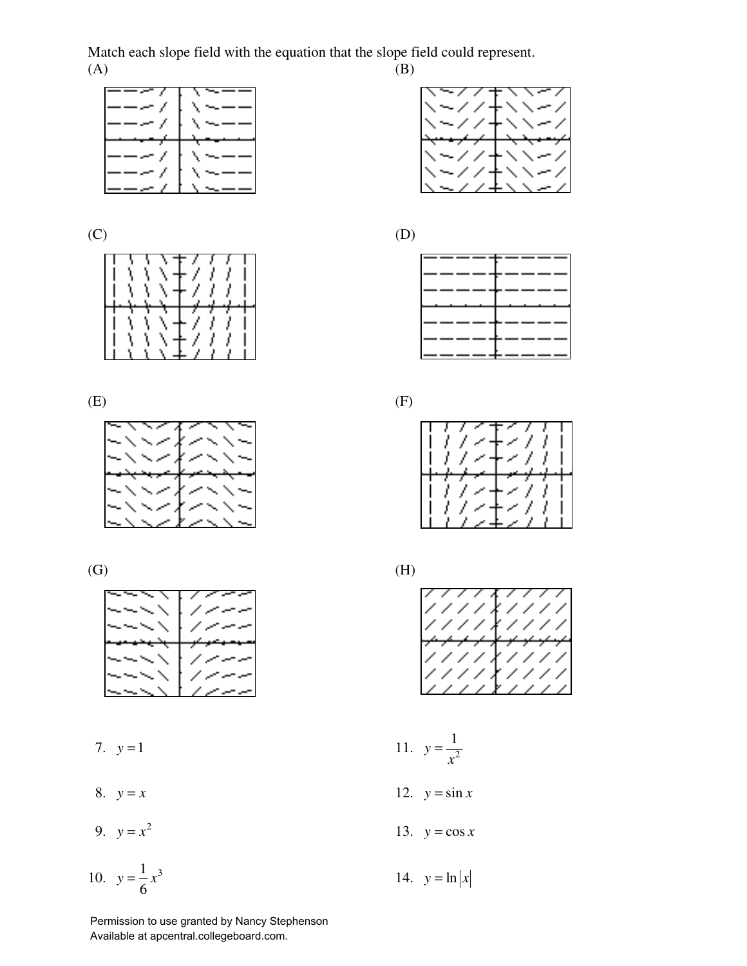Match each slope field with the equation that the slope field could represent.<br>(A) (B)  $(A)$  (B)













9.  $y = x^2$  13.  $y = \cos x$ 

10. 
$$
y = \frac{1}{6}x^3
$$

Permission to use granted by Nancy Stephenson Available at apcentral.collegeboard.com.



 $(C)$  (D)





 $\hbox{ (G)}$   $\hbox{ (H)}$ 



7.  $y=1$  11.  $y=\frac{1}{x^2}$ 

8.  $y = x$  12.  $y = \sin x$ 

$$
y = \frac{1}{6}x^3
$$
 14.  $y = \ln|x$